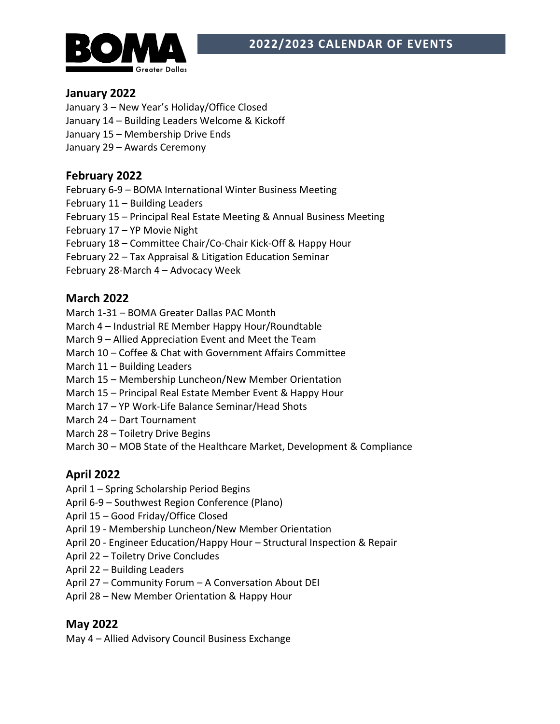

#### **January 2022**

- January 3 New Year's Holiday/Office Closed
- January 14 Building Leaders Welcome & Kickoff
- January 15 Membership Drive Ends
- January 29 Awards Ceremony

# **February 2022**

February 6-9 – BOMA International Winter Business Meeting

- February 11 Building Leaders
- February 15 Principal Real Estate Meeting & Annual Business Meeting
- February 17 YP Movie Night
- February 18 Committee Chair/Co-Chair Kick-Off & Happy Hour
- February 22 Tax Appraisal & Litigation Education Seminar
- February 28-March 4 Advocacy Week

# **March 2022**

- March 1-31 BOMA Greater Dallas PAC Month
- March 4 Industrial RE Member Happy Hour/Roundtable
- March 9 Allied Appreciation Event and Meet the Team
- March 10 Coffee & Chat with Government Affairs Committee
- March 11 Building Leaders
- March 15 Membership Luncheon/New Member Orientation
- March 15 Principal Real Estate Member Event & Happy Hour
- March 17 YP Work-Life Balance Seminar/Head Shots
- March 24 Dart Tournament
- March 28 Toiletry Drive Begins
- March 30 MOB State of the Healthcare Market, Development & Compliance

# **April 2022**

- April 1 Spring Scholarship Period Begins
- April 6-9 Southwest Region Conference (Plano)
- April 15 Good Friday/Office Closed
- April 19 Membership Luncheon/New Member Orientation
- April 20 Engineer Education/Happy Hour Structural Inspection & Repair
- April 22 Toiletry Drive Concludes
- April 22 Building Leaders
- April 27 Community Forum A Conversation About DEI
- April 28 New Member Orientation & Happy Hour

# **May 2022**

May 4 – Allied Advisory Council Business Exchange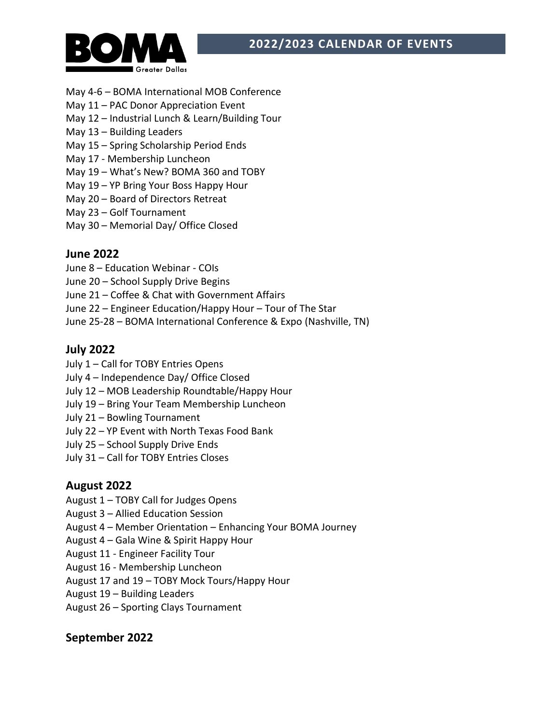

- May 4-6 BOMA International MOB Conference
- May 11 PAC Donor Appreciation Event
- May 12 Industrial Lunch & Learn/Building Tour
- May 13 Building Leaders
- May 15 Spring Scholarship Period Ends
- May 17 Membership Luncheon
- May 19 What's New? BOMA 360 and TOBY
- May 19 YP Bring Your Boss Happy Hour
- May 20 Board of Directors Retreat
- May 23 Golf Tournament
- May 30 Memorial Day/ Office Closed

#### **June 2022**

- June 8 Education Webinar COIs
- June 20 School Supply Drive Begins
- June 21 Coffee & Chat with Government Affairs
- June 22 Engineer Education/Happy Hour Tour of The Star
- June 25-28 BOMA International Conference & Expo (Nashville, TN)

# **July 2022**

- July 1 Call for TOBY Entries Opens
- July 4 Independence Day/ Office Closed
- July 12 MOB Leadership Roundtable/Happy Hour
- July 19 Bring Your Team Membership Luncheon
- July 21 Bowling Tournament
- July 22 YP Event with North Texas Food Bank
- July 25 School Supply Drive Ends
- July 31 Call for TOBY Entries Closes

# **August 2022**

- August 1 TOBY Call for Judges Opens
- August 3 Allied Education Session
- August 4 Member Orientation Enhancing Your BOMA Journey
- August 4 Gala Wine & Spirit Happy Hour
- August 11 Engineer Facility Tour
- August 16 Membership Luncheon
- August 17 and 19 TOBY Mock Tours/Happy Hour
- August 19 Building Leaders
- August 26 Sporting Clays Tournament

# **September 2022**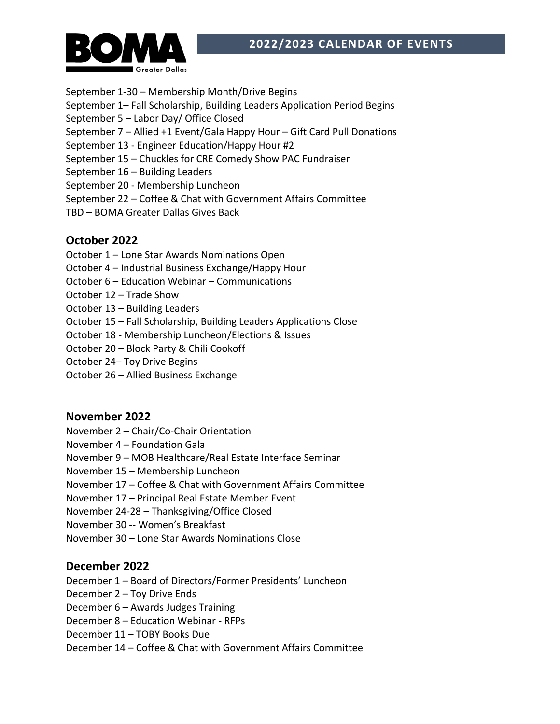

September 1-30 – Membership Month/Drive Begins September 1– Fall Scholarship, Building Leaders Application Period Begins September 5 – Labor Day/ Office Closed September 7 – Allied +1 Event/Gala Happy Hour – Gift Card Pull Donations September 13 - Engineer Education/Happy Hour #2 September 15 – Chuckles for CRE Comedy Show PAC Fundraiser September 16 – Building Leaders September 20 - Membership Luncheon September 22 – Coffee & Chat with Government Affairs Committee TBD – BOMA Greater Dallas Gives Back **October 2022**

# October 1 – Lone Star Awards Nominations Open

- October 4 Industrial Business Exchange/Happy Hour
- October 6 Education Webinar Communications
- October 12 Trade Show
- October 13 Building Leaders
- October 15 Fall Scholarship, Building Leaders Applications Close
- October 18 Membership Luncheon/Elections & Issues
- October 20 Block Party & Chili Cookoff
- October 24– Toy Drive Begins
- October 26 Allied Business Exchange

#### **November 2022**

- November 2 Chair/Co-Chair Orientation
- November 4 Foundation Gala
- November 9 MOB Healthcare/Real Estate Interface Seminar
- November 15 Membership Luncheon
- November 17 Coffee & Chat with Government Affairs Committee
- November 17 Principal Real Estate Member Event
- November 24-28 Thanksgiving/Office Closed
- November 30 -- Women's Breakfast
- November 30 Lone Star Awards Nominations Close

#### **December 2022**

- December 1 Board of Directors/Former Presidents' Luncheon
- December 2 Toy Drive Ends
- December 6 Awards Judges Training
- December 8 Education Webinar RFPs
- December 11 TOBY Books Due
- December 14 Coffee & Chat with Government Affairs Committee